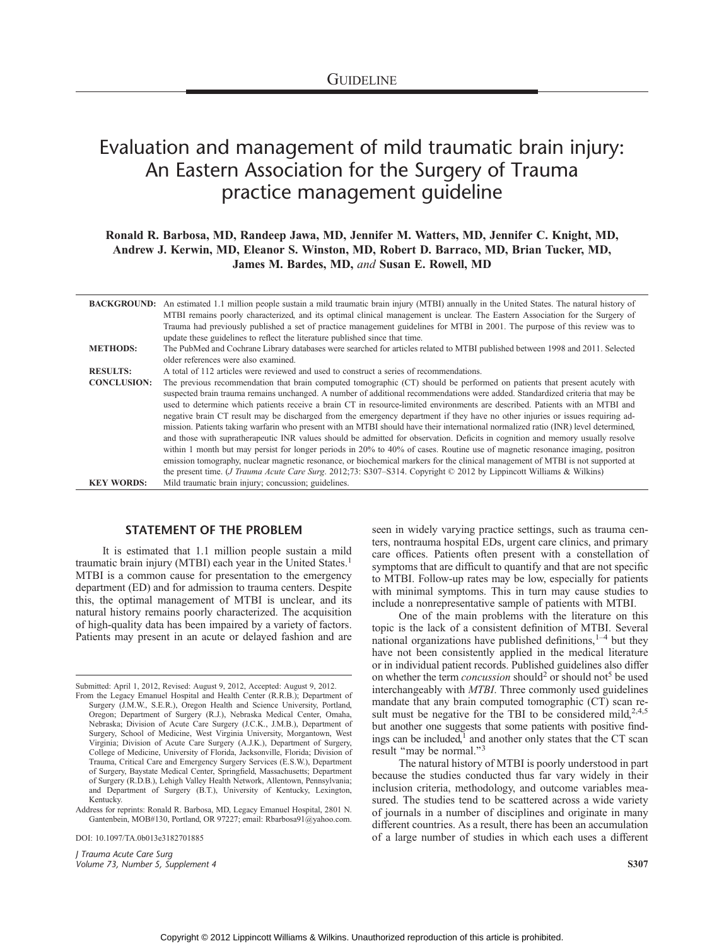# Evaluation and management of mild traumatic brain injury: An Eastern Association for the Surgery of Trauma practice management guideline

Ronald R. Barbosa, MD, Randeep Jawa, MD, Jennifer M. Watters, MD, Jennifer C. Knight, MD, Andrew J. Kerwin, MD, Eleanor S. Winston, MD, Robert D. Barraco, MD, Brian Tucker, MD, James M. Bardes, MD, and Susan E. Rowell, MD

|                    | <b>BACKGROUND:</b> An estimated 1.1 million people sustain a mild traumatic brain injury (MTBI) annually in the United States. The natural history of<br>MTBI remains poorly characterized, and its optimal clinical management is unclear. The Eastern Association for the Surgery of<br>Trauma had previously published a set of practice management guidelines for MTBI in 2001. The purpose of this review was to<br>update these guidelines to reflect the literature published since that time.                                                                                                                                                                                                                                                                                                                                                                                                                                                                                                                                                                                                                                                                                                               |
|--------------------|---------------------------------------------------------------------------------------------------------------------------------------------------------------------------------------------------------------------------------------------------------------------------------------------------------------------------------------------------------------------------------------------------------------------------------------------------------------------------------------------------------------------------------------------------------------------------------------------------------------------------------------------------------------------------------------------------------------------------------------------------------------------------------------------------------------------------------------------------------------------------------------------------------------------------------------------------------------------------------------------------------------------------------------------------------------------------------------------------------------------------------------------------------------------------------------------------------------------|
| <b>METHODS:</b>    | The PubMed and Cochrane Library databases were searched for articles related to MTBI published between 1998 and 2011. Selected<br>older references were also examined.                                                                                                                                                                                                                                                                                                                                                                                                                                                                                                                                                                                                                                                                                                                                                                                                                                                                                                                                                                                                                                              |
| <b>RESULTS:</b>    | A total of 112 articles were reviewed and used to construct a series of recommendations.                                                                                                                                                                                                                                                                                                                                                                                                                                                                                                                                                                                                                                                                                                                                                                                                                                                                                                                                                                                                                                                                                                                            |
| <b>CONCLUSION:</b> | The previous recommendation that brain computed tomographic (CT) should be performed on patients that present acutely with<br>suspected brain trauma remains unchanged. A number of additional recommendations were added. Standardized criteria that may be<br>used to determine which patients receive a brain CT in resource-limited environments are described. Patients with an MTBI and<br>negative brain CT result may be discharged from the emergency department if they have no other injuries or issues requiring ad-<br>mission. Patients taking warfarin who present with an MTBI should have their international normalized ratio (INR) level determined,<br>and those with supratherapeutic INR values should be admitted for observation. Deficits in cognition and memory usually resolve<br>within 1 month but may persist for longer periods in 20% to 40% of cases. Routine use of magnetic resonance imaging, positron<br>emission tomography, nuclear magnetic resonance, or biochemical markers for the clinical management of MTBI is not supported at<br>the present time. ( <i>J Trauma Acute Care Surg.</i> 2012;73: S307–S314. Copyright $\odot$ 2012 by Lippincott Williams & Wilkins) |
| <b>KEY WORDS:</b>  | Mild traumatic brain injury; concussion; guidelines.                                                                                                                                                                                                                                                                                                                                                                                                                                                                                                                                                                                                                                                                                                                                                                                                                                                                                                                                                                                                                                                                                                                                                                |

# STATEMENT OF THE PROBLEM

It is estimated that 1.1 million people sustain a mild traumatic brain injury (MTBI) each year in the United States.<sup>1</sup> MTBI is a common cause for presentation to the emergency department (ED) and for admission to trauma centers. Despite this, the optimal management of MTBI is unclear, and its natural history remains poorly characterized. The acquisition of high-quality data has been impaired by a variety of factors. Patients may present in an acute or delayed fashion and are

DOI: 10.1097/TA.0b013e3182701885

J Trauma Acute Care Surg Volume 73, Number 5, Supplement 4 S307

seen in widely varying practice settings, such as trauma centers, nontrauma hospital EDs, urgent care clinics, and primary care offices. Patients often present with a constellation of symptoms that are difficult to quantify and that are not specific to MTBI. Follow-up rates may be low, especially for patients with minimal symptoms. This in turn may cause studies to include a nonrepresentative sample of patients with MTBI.

One of the main problems with the literature on this topic is the lack of a consistent definition of MTBI. Several national organizations have published definitions, $1-4$  but they have not been consistently applied in the medical literature or in individual patient records. Published guidelines also differ on whether the term *concussion* should<sup>2</sup> or should not<sup>5</sup> be used interchangeably with MTBI. Three commonly used guidelines mandate that any brain computed tomographic (CT) scan result must be negative for the TBI to be considered mild,<sup>2,4,5</sup> but another one suggests that some patients with positive findings can be included, $<sup>1</sup>$  and another only states that the CT scan</sup> result "may be normal."<sup>3</sup>

The natural history of MTBI is poorly understood in part because the studies conducted thus far vary widely in their inclusion criteria, methodology, and outcome variables measured. The studies tend to be scattered across a wide variety of journals in a number of disciplines and originate in many different countries. As a result, there has been an accumulation of a large number of studies in which each uses a different

Submitted: April 1, 2012, Revised: August 9, 2012, Accepted: August 9, 2012.

From the Legacy Emanuel Hospital and Health Center (R.R.B.); Department of Surgery (J.M.W., S.E.R.), Oregon Health and Science University, Portland, Oregon; Department of Surgery (R.J.), Nebraska Medical Center, Omaha, Nebraska; Division of Acute Care Surgery (J.C.K., J.M.B.), Department of Surgery, School of Medicine, West Virginia University, Morgantown, West Virginia; Division of Acute Care Surgery (A.J.K.), Department of Surgery, College of Medicine, University of Florida, Jacksonville, Florida; Division of Trauma, Critical Care and Emergency Surgery Services (E.S.W.), Department of Surgery, Baystate Medical Center, Springfield, Massachusetts; Department of Surgery (R.D.B.), Lehigh Valley Health Network, Allentown, Pennsylvania; and Department of Surgery (B.T.), University of Kentucky, Lexington, Kentucky.

Address for reprints: Ronald R. Barbosa, MD, Legacy Emanuel Hospital, 2801 N. Gantenbein, MOB#130, Portland, OR 97227; email: Rbarbosa91@yahoo.com.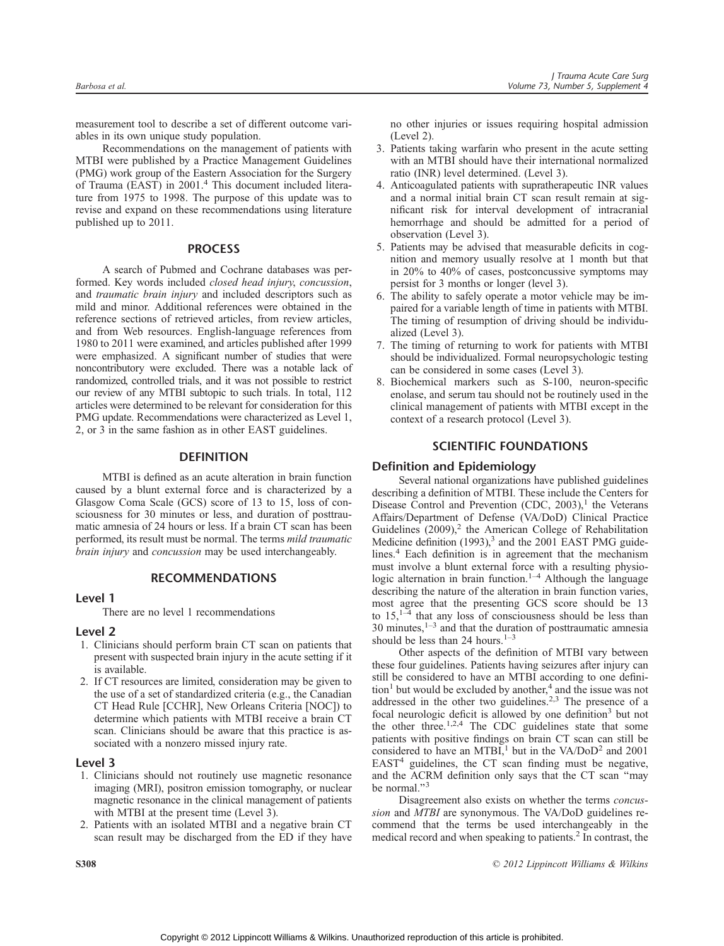measurement tool to describe a set of different outcome variables in its own unique study population.

Recommendations on the management of patients with MTBI were published by a Practice Management Guidelines (PMG) work group of the Eastern Association for the Surgery of Trauma (EAST) in 2001.<sup>4</sup> This document included literature from 1975 to 1998. The purpose of this update was to revise and expand on these recommendations using literature published up to 2011.

## **PROCESS**

A search of Pubmed and Cochrane databases was performed. Key words included closed head injury, concussion, and traumatic brain injury and included descriptors such as mild and minor. Additional references were obtained in the reference sections of retrieved articles, from review articles, and from Web resources. English-language references from 1980 to 2011 were examined, and articles published after 1999 were emphasized. A significant number of studies that were noncontributory were excluded. There was a notable lack of randomized, controlled trials, and it was not possible to restrict our review of any MTBI subtopic to such trials. In total, 112 articles were determined to be relevant for consideration for this PMG update. Recommendations were characterized as Level 1, 2, or 3 in the same fashion as in other EAST guidelines.

## **DEFINITION**

MTBI is defined as an acute alteration in brain function caused by a blunt external force and is characterized by a Glasgow Coma Scale (GCS) score of 13 to 15, loss of consciousness for 30 minutes or less, and duration of posttraumatic amnesia of 24 hours or less. If a brain CT scan has been performed, its result must be normal. The terms mild traumatic brain injury and concussion may be used interchangeably.

# RECOMMENDATIONS

#### Level 1

There are no level 1 recommendations

## Level 2

- 1. Clinicians should perform brain CT scan on patients that present with suspected brain injury in the acute setting if it is available.
- 2. If CT resources are limited, consideration may be given to the use of a set of standardized criteria (e.g., the Canadian CT Head Rule [CCHR], New Orleans Criteria [NOC]) to determine which patients with MTBI receive a brain CT scan. Clinicians should be aware that this practice is associated with a nonzero missed injury rate.

#### Level 3

- 1. Clinicians should not routinely use magnetic resonance imaging (MRI), positron emission tomography, or nuclear magnetic resonance in the clinical management of patients with MTBI at the present time (Level 3).
- 2. Patients with an isolated MTBI and a negative brain CT scan result may be discharged from the ED if they have
- 3. Patients taking warfarin who present in the acute setting with an MTBI should have their international normalized ratio (INR) level determined. (Level 3).
- 4. Anticoagulated patients with supratherapeutic INR values and a normal initial brain CT scan result remain at significant risk for interval development of intracranial hemorrhage and should be admitted for a period of observation (Level 3).
- 5. Patients may be advised that measurable deficits in cognition and memory usually resolve at 1 month but that in 20% to 40% of cases, postconcussive symptoms may persist for 3 months or longer (level 3).
- 6. The ability to safely operate a motor vehicle may be impaired for a variable length of time in patients with MTBI. The timing of resumption of driving should be individualized (Level 3).
- 7. The timing of returning to work for patients with MTBI should be individualized. Formal neuropsychologic testing can be considered in some cases (Level 3).
- 8. Biochemical markers such as S-100, neuron-specific enolase, and serum tau should not be routinely used in the clinical management of patients with MTBI except in the context of a research protocol (Level 3).

# SCIENTIFIC FOUNDATIONS

## Definition and Epidemiology

Several national organizations have published guidelines describing a definition of MTBI. These include the Centers for Disease Control and Prevention (CDC, 2003),<sup>1</sup> the Veterans Affairs/Department of Defense (VA/DoD) Clinical Practice Guidelines  $(2009)$ ,<sup>2</sup> the American College of Rehabilitation Medicine definition  $(1993)$ ,<sup>3</sup> and the 2001 EAST PMG guidelines.<sup>4</sup> Each definition is in agreement that the mechanism must involve a blunt external force with a resulting physiologic alternation in brain function.<sup>1-4</sup> Although the language describing the nature of the alteration in brain function varies, most agree that the presenting GCS score should be 13 to  $15$ ,  $1-4$  that any loss of consciousness should be less than 30 minutes, $1-3$  and that the duration of posttraumatic amnesia should be less than 24 hours.<sup>1-3</sup>

Other aspects of the definition of MTBI vary between these four guidelines. Patients having seizures after injury can still be considered to have an MTBI according to one defini- $\text{tion}^1$  but would be excluded by another,<sup>4</sup> and the issue was not addressed in the other two guidelines.<sup>2,3</sup> The presence of a focal neurologic deficit is allowed by one definition<sup>3</sup> but not the other three.<sup>1,2,4</sup> The CDC guidelines state that some patients with positive findings on brain CT scan can still be considered to have an MTBI,<sup>1</sup> but in the VA/DoD<sup>2</sup> and 2001  $EAST<sup>4</sup>$  guidelines, the CT scan finding must be negative, and the ACRM definition only says that the CT scan ''may be normal."<sup>3</sup>

Disagreement also exists on whether the terms concussion and MTBI are synonymous. The VA/DoD guidelines recommend that the terms be used interchangeably in the medical record and when speaking to patients.<sup>2</sup> In contrast, the

S308 **2012** Lippincott Williams & Wilkins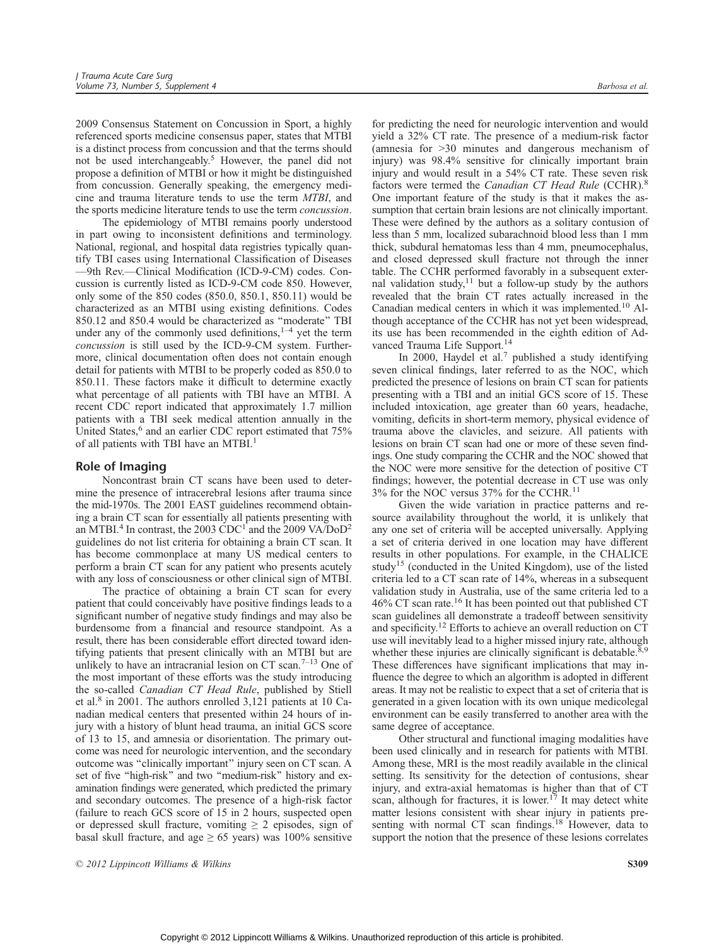2009 Consensus Statement on Concussion in Sport, a highly referenced sports medicine consensus paper, states that MTBI is a distinct process from concussion and that the terms should not be used interchangeably.<sup>5</sup> However, the panel did not propose a definition of MTBI or how it might be distinguished from concussion. Generally speaking, the emergency medicine and trauma literature tends to use the term MTBI, and the sports medicine literature tends to use the term concussion.

The epidemiology of MTBI remains poorly understood in part owing to inconsistent definitions and terminology. National, regional, and hospital data registries typically quantify TBI cases using International Classification of Diseases --9th Rev.--Clinical Modification (ICD-9-CM) codes. Concussion is currently listed as ICD-9-CM code 850. However, only some of the 850 codes (850.0, 850.1, 850.11) would be characterized as an MTBI using existing definitions. Codes 850.12 and 850.4 would be characterized as ''moderate'' TBI under any of the commonly used definitions, $1-4$  yet the term concussion is still used by the ICD-9-CM system. Furthermore, clinical documentation often does not contain enough detail for patients with MTBI to be properly coded as 850.0 to 850.11. These factors make it difficult to determine exactly what percentage of all patients with TBI have an MTBI. A recent CDC report indicated that approximately 1.7 million patients with a TBI seek medical attention annually in the United States,<sup>6</sup> and an earlier CDC report estimated that  $75%$ of all patients with TBI have an MTBI.<sup>1</sup>

## Role of Imaging

Noncontrast brain CT scans have been used to determine the presence of intracerebral lesions after trauma since the mid-1970s. The 2001 EAST guidelines recommend obtaining a brain CT scan for essentially all patients presenting with an MTBI.<sup>4</sup> In contrast, the 2003 CDC<sup>1</sup> and the 2009 VA/DoD<sup>2</sup> guidelines do not list criteria for obtaining a brain CT scan. It has become commonplace at many US medical centers to perform a brain CT scan for any patient who presents acutely with any loss of consciousness or other clinical sign of MTBI.

The practice of obtaining a brain CT scan for every patient that could conceivably have positive findings leads to a significant number of negative study findings and may also be burdensome from a financial and resource standpoint. As a result, there has been considerable effort directed toward identifying patients that present clinically with an MTBI but are unlikely to have an intracranial lesion on  $CT$  scan.<sup>7-13</sup> One of the most important of these efforts was the study introducing the so-called Canadian CT Head Rule, published by Stiell et al.<sup>8</sup> in 2001. The authors enrolled 3,121 patients at 10 Canadian medical centers that presented within 24 hours of injury with a history of blunt head trauma, an initial GCS score of 13 to 15, and amnesia or disorientation. The primary outcome was need for neurologic intervention, and the secondary outcome was ''clinically important'' injury seen on CT scan. A set of five "high-risk" and two "medium-risk" history and examination findings were generated, which predicted the primary and secondary outcomes. The presence of a high-risk factor (failure to reach GCS score of 15 in 2 hours, suspected open or depressed skull fracture, vomiting  $\geq 2$  episodes, sign of basal skull fracture, and age  $\geq 65$  years) was 100% sensitive

for predicting the need for neurologic intervention and would yield a 32% CT rate. The presence of a medium-risk factor (amnesia for 930 minutes and dangerous mechanism of injury) was 98.4% sensitive for clinically important brain injury and would result in a 54% CT rate. These seven risk factors were termed the *Canadian CT Head Rule* (CCHR).<sup>8</sup> One important feature of the study is that it makes the assumption that certain brain lesions are not clinically important. These were defined by the authors as a solitary contusion of less than 5 mm, localized subarachnoid blood less than 1 mm thick, subdural hematomas less than 4 mm, pneumocephalus, and closed depressed skull fracture not through the inner table. The CCHR performed favorably in a subsequent external validation study, $11$  but a follow-up study by the authors revealed that the brain CT rates actually increased in the Canadian medical centers in which it was implemented.10 Although acceptance of the CCHR has not yet been widespread, its use has been recommended in the eighth edition of Advanced Trauma Life Support.<sup>14</sup>

In 2000, Haydel et al.<sup>7</sup> published a study identifying seven clinical findings, later referred to as the NOC, which predicted the presence of lesions on brain CT scan for patients presenting with a TBI and an initial GCS score of 15. These included intoxication, age greater than 60 years, headache, vomiting, deficits in short-term memory, physical evidence of trauma above the clavicles, and seizure. All patients with lesions on brain CT scan had one or more of these seven findings. One study comparing the CCHR and the NOC showed that the NOC were more sensitive for the detection of positive CT findings; however, the potential decrease in CT use was only 3% for the NOC versus 37% for the CCHR.<sup>11</sup>

Given the wide variation in practice patterns and resource availability throughout the world, it is unlikely that any one set of criteria will be accepted universally. Applying a set of criteria derived in one location may have different results in other populations. For example, in the CHALICE study<sup>15</sup> (conducted in the United Kingdom), use of the listed criteria led to a CT scan rate of 14%, whereas in a subsequent validation study in Australia, use of the same criteria led to a 46% CT scan rate.<sup>16</sup> It has been pointed out that published CT scan guidelines all demonstrate a tradeoff between sensitivity and specificity.<sup>12</sup> Efforts to achieve an overall reduction on CT use will inevitably lead to a higher missed injury rate, although whether these injuries are clinically significant is debatable.<sup>8,9</sup> These differences have significant implications that may influence the degree to which an algorithm is adopted in different areas. It may not be realistic to expect that a set of criteria that is generated in a given location with its own unique medicolegal environment can be easily transferred to another area with the same degree of acceptance.

Other structural and functional imaging modalities have been used clinically and in research for patients with MTBI. Among these, MRI is the most readily available in the clinical setting. Its sensitivity for the detection of contusions, shear injury, and extra-axial hematomas is higher than that of CT scan, although for fractures, it is lower.<sup>17</sup> It may detect white matter lesions consistent with shear injury in patients presenting with normal CT scan findings.<sup>18</sup> However, data to support the notion that the presence of these lesions correlates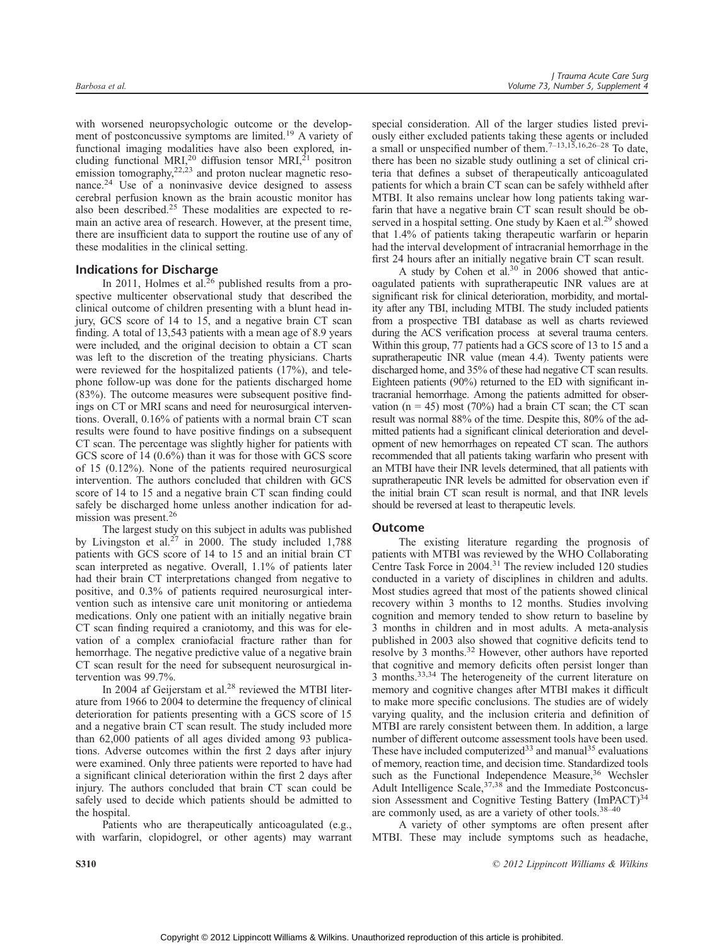with worsened neuropsychologic outcome or the development of postconcussive symptoms are limited.<sup>19</sup> A variety of functional imaging modalities have also been explored, including functional MRI,<sup>20</sup> diffusion tensor MRI,<sup>21</sup> positron  $e^{\frac{2}{2}}$  emission tomography,<sup>22,23</sup> and proton nuclear magnetic resonance.<sup>24</sup> Use of a noninvasive device designed to assess cerebral perfusion known as the brain acoustic monitor has also been described.<sup>25</sup> These modalities are expected to remain an active area of research. However, at the present time, there are insufficient data to support the routine use of any of these modalities in the clinical setting.

#### Indications for Discharge

In 2011, Holmes et al.<sup>26</sup> published results from a prospective multicenter observational study that described the clinical outcome of children presenting with a blunt head injury, GCS score of 14 to 15, and a negative brain CT scan finding. A total of 13,543 patients with a mean age of 8.9 years were included, and the original decision to obtain a CT scan was left to the discretion of the treating physicians. Charts were reviewed for the hospitalized patients (17%), and telephone follow-up was done for the patients discharged home (83%). The outcome measures were subsequent positive findings on CT or MRI scans and need for neurosurgical interventions. Overall, 0.16% of patients with a normal brain CT scan results were found to have positive findings on a subsequent CT scan. The percentage was slightly higher for patients with GCS score of 14 (0.6%) than it was for those with GCS score of 15 (0.12%). None of the patients required neurosurgical intervention. The authors concluded that children with GCS score of 14 to 15 and a negative brain CT scan finding could safely be discharged home unless another indication for admission was present.<sup>26</sup>

The largest study on this subject in adults was published by Livingston et al.<sup>27</sup> in 2000. The study included  $1,788$ patients with GCS score of 14 to 15 and an initial brain CT scan interpreted as negative. Overall, 1.1% of patients later had their brain CT interpretations changed from negative to positive, and 0.3% of patients required neurosurgical intervention such as intensive care unit monitoring or antiedema medications. Only one patient with an initially negative brain CT scan finding required a craniotomy, and this was for elevation of a complex craniofacial fracture rather than for hemorrhage. The negative predictive value of a negative brain CT scan result for the need for subsequent neurosurgical intervention was 99.7%.

In 2004 af Geijerstam et al.<sup>28</sup> reviewed the MTBI literature from 1966 to 2004 to determine the frequency of clinical deterioration for patients presenting with a GCS score of 15 and a negative brain CT scan result. The study included more than 62,000 patients of all ages divided among 93 publications. Adverse outcomes within the first 2 days after injury were examined. Only three patients were reported to have had a significant clinical deterioration within the first 2 days after injury. The authors concluded that brain CT scan could be safely used to decide which patients should be admitted to the hospital.

Patients who are therapeutically anticoagulated (e.g., with warfarin, clopidogrel, or other agents) may warrant special consideration. All of the larger studies listed previously either excluded patients taking these agents or included<br>a small or unspecified number of them.<sup>7–13,15,16,26–28</sup> To date, there has been no sizable study outlining a set of clinical criteria that defines a subset of therapeutically anticoagulated patients for which a brain CT scan can be safely withheld after MTBI. It also remains unclear how long patients taking warfarin that have a negative brain CT scan result should be observed in a hospital setting. One study by Kaen et al.<sup>29</sup> showed that 1.4% of patients taking therapeutic warfarin or heparin had the interval development of intracranial hemorrhage in the first 24 hours after an initially negative brain CT scan result.

A study by Cohen et al. $30$  in 2006 showed that anticoagulated patients with supratherapeutic INR values are at significant risk for clinical deterioration, morbidity, and mortality after any TBI, including MTBI. The study included patients from a prospective TBI database as well as charts reviewed during the ACS verification process at several trauma centers. Within this group, 77 patients had a GCS score of 13 to 15 and a supratherapeutic INR value (mean 4.4). Twenty patients were discharged home, and 35% of these had negative CT scan results. Eighteen patients (90%) returned to the ED with significant intracranial hemorrhage. Among the patients admitted for observation ( $n = 45$ ) most (70%) had a brain CT scan; the CT scan result was normal 88% of the time. Despite this, 80% of the admitted patients had a significant clinical deterioration and development of new hemorrhages on repeated CT scan. The authors recommended that all patients taking warfarin who present with an MTBI have their INR levels determined, that all patients with supratherapeutic INR levels be admitted for observation even if the initial brain CT scan result is normal, and that INR levels should be reversed at least to therapeutic levels.

#### Outcome

The existing literature regarding the prognosis of patients with MTBI was reviewed by the WHO Collaborating Centre Task Force in 2004.<sup>31</sup> The review included 120 studies conducted in a variety of disciplines in children and adults. Most studies agreed that most of the patients showed clinical recovery within 3 months to 12 months. Studies involving cognition and memory tended to show return to baseline by 3 months in children and in most adults. A meta-analysis published in 2003 also showed that cognitive deficits tend to resolve by 3 months.<sup>32</sup> However, other authors have reported that cognitive and memory deficits often persist longer than 3 months.33,34 The heterogeneity of the current literature on memory and cognitive changes after MTBI makes it difficult to make more specific conclusions. The studies are of widely varying quality, and the inclusion criteria and definition of MTBI are rarely consistent between them. In addition, a large number of different outcome assessment tools have been used. These have included computerized<sup>33</sup> and manual<sup>35</sup> evaluations of memory, reaction time, and decision time. Standardized tools such as the Functional Independence Measure,<sup>36</sup> Wechsler Adult Intelligence Scale,<sup>37,38</sup> and the Immediate Postconcussion Assessment and Cognitive Testing Battery (ImPACT)<sup>34</sup> are commonly used, as are a variety of other tools. $38-40$ 

A variety of other symptoms are often present after MTBI. These may include symptoms such as headache,

 $\degree$  2012 Lippincott Williams & Wilkins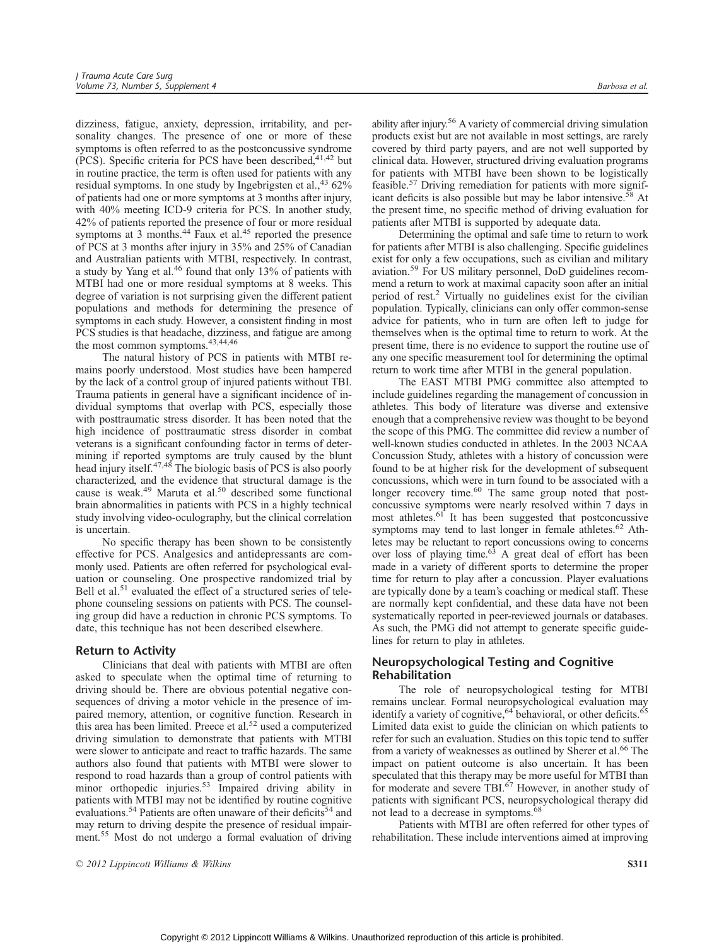dizziness, fatigue, anxiety, depression, irritability, and personality changes. The presence of one or more of these symptoms is often referred to as the postconcussive syndrome (PCS). Specific criteria for PCS have been described,  $41,42$  but in routine practice, the term is often used for patients with any residual symptoms. In one study by Ingebrigsten et al.,  $43\frac{62}{%}$ of patients had one or more symptoms at 3 months after injury, with 40% meeting ICD-9 criteria for PCS. In another study, 42% of patients reported the presence of four or more residual symptoms at 3 months.<sup>44</sup> Faux et al.<sup>45</sup> reported the presence of PCS at 3 months after injury in 35% and 25% of Canadian and Australian patients with MTBI, respectively. In contrast, a study by Yang et al.<sup>46</sup> found that only 13% of patients with MTBI had one or more residual symptoms at 8 weeks. This degree of variation is not surprising given the different patient populations and methods for determining the presence of symptoms in each study. However, a consistent finding in most PCS studies is that headache, dizziness, and fatigue are among the most common symptoms.<sup>43,44,46</sup>

The natural history of PCS in patients with MTBI remains poorly understood. Most studies have been hampered by the lack of a control group of injured patients without TBI. Trauma patients in general have a significant incidence of individual symptoms that overlap with PCS, especially those with posttraumatic stress disorder. It has been noted that the high incidence of posttraumatic stress disorder in combat veterans is a significant confounding factor in terms of determining if reported symptoms are truly caused by the blunt head injury itself.47,48 The biologic basis of PCS is also poorly characterized, and the evidence that structural damage is the cause is weak.<sup>49</sup> Maruta et al.<sup>50</sup> described some functional brain abnormalities in patients with PCS in a highly technical study involving video-oculography, but the clinical correlation is uncertain.

No specific therapy has been shown to be consistently effective for PCS. Analgesics and antidepressants are commonly used. Patients are often referred for psychological evaluation or counseling. One prospective randomized trial by Bell et al.<sup>51</sup> evaluated the effect of a structured series of telephone counseling sessions on patients with PCS. The counseling group did have a reduction in chronic PCS symptoms. To date, this technique has not been described elsewhere.

## Return to Activity

Clinicians that deal with patients with MTBI are often asked to speculate when the optimal time of returning to driving should be. There are obvious potential negative consequences of driving a motor vehicle in the presence of impaired memory, attention, or cognitive function. Research in this area has been limited. Preece et al. $52$  used a computerized driving simulation to demonstrate that patients with MTBI were slower to anticipate and react to traffic hazards. The same authors also found that patients with MTBI were slower to respond to road hazards than a group of control patients with minor orthopedic injuries.<sup>53</sup> Impaired driving ability in patients with MTBI may not be identified by routine cognitive evaluations.<sup>54</sup> Patients are often unaware of their deficits<sup>54</sup> and may return to driving despite the presence of residual impairment.<sup>55</sup> Most do not undergo a formal evaluation of driving ability after injury.56 A variety of commercial driving simulation products exist but are not available in most settings, are rarely covered by third party payers, and are not well supported by clinical data. However, structured driving evaluation programs for patients with MTBI have been shown to be logistically feasible.57 Driving remediation for patients with more significant deficits is also possible but may be labor intensive.<sup>58</sup> At the present time, no specific method of driving evaluation for patients after MTBI is supported by adequate data.

Determining the optimal and safe time to return to work for patients after MTBI is also challenging. Specific guidelines exist for only a few occupations, such as civilian and military aviation.<sup>59</sup> For US military personnel, DoD guidelines recommend a return to work at maximal capacity soon after an initial period of rest.2 Virtually no guidelines exist for the civilian population. Typically, clinicians can only offer common-sense advice for patients, who in turn are often left to judge for themselves when is the optimal time to return to work. At the present time, there is no evidence to support the routine use of any one specific measurement tool for determining the optimal return to work time after MTBI in the general population.

The EAST MTBI PMG committee also attempted to include guidelines regarding the management of concussion in athletes. This body of literature was diverse and extensive enough that a comprehensive review was thought to be beyond the scope of this PMG. The committee did review a number of well-known studies conducted in athletes. In the 2003 NCAA Concussion Study, athletes with a history of concussion were found to be at higher risk for the development of subsequent concussions, which were in turn found to be associated with a longer recovery time.<sup>60</sup> The same group noted that postconcussive symptoms were nearly resolved within 7 days in most athletes. $61$  It has been suggested that postconcussive symptoms may tend to last longer in female athletes.<sup>62</sup> Athletes may be reluctant to report concussions owing to concerns over loss of playing time. $63$  A great deal of effort has been made in a variety of different sports to determine the proper time for return to play after a concussion. Player evaluations are typically done by a team's coaching or medical staff. These are normally kept confidential, and these data have not been systematically reported in peer-reviewed journals or databases. As such, the PMG did not attempt to generate specific guidelines for return to play in athletes.

# Neuropsychological Testing and Cognitive Rehabilitation

The role of neuropsychological testing for MTBI remains unclear. Formal neuropsychological evaluation may identify a variety of cognitive,  $64$  behavioral, or other deficits.  $65$ Limited data exist to guide the clinician on which patients to refer for such an evaluation. Studies on this topic tend to suffer from a variety of weaknesses as outlined by Sherer et al.<sup>66</sup> The impact on patient outcome is also uncertain. It has been speculated that this therapy may be more useful for MTBI than for moderate and severe TBI.<sup>67</sup> However, in another study of patients with significant PCS, neuropsychological therapy did not lead to a decrease in symptoms.<sup>68</sup>

Patients with MTBI are often referred for other types of rehabilitation. These include interventions aimed at improving

 $\odot$  2012 Lippincott Williams & Wilkins  $\ddot{\phantom{2}}$  S311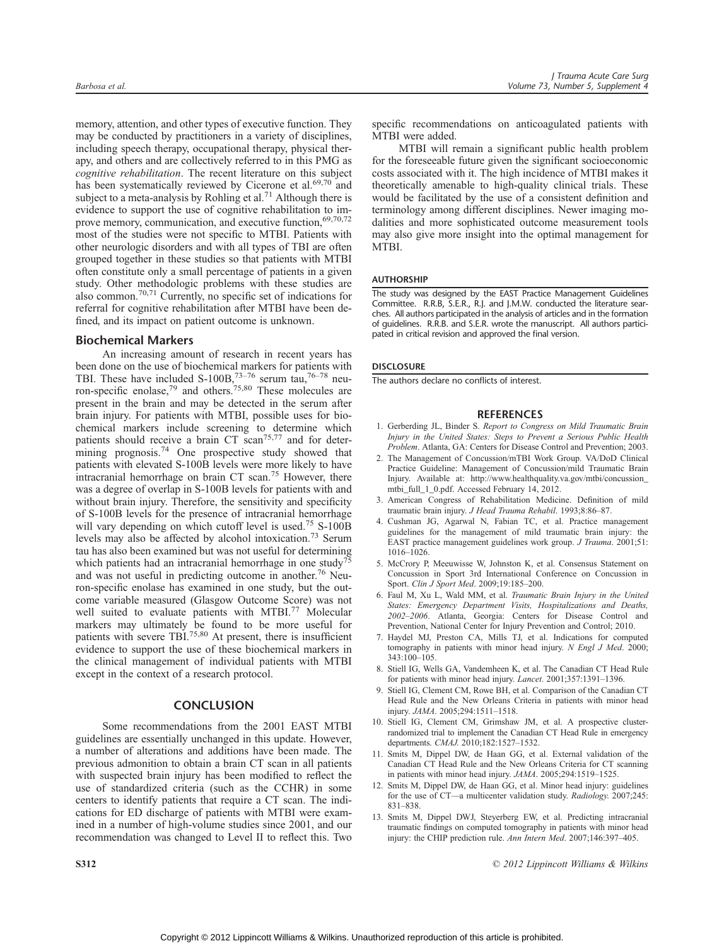memory, attention, and other types of executive function. They may be conducted by practitioners in a variety of disciplines, including speech therapy, occupational therapy, physical therapy, and others and are collectively referred to in this PMG as cognitive rehabilitation. The recent literature on this subject has been systematically reviewed by Cicerone et al.<sup>69,70</sup> and subject to a meta-analysis by Rohling et al.<sup>71</sup> Although there is evidence to support the use of cognitive rehabilitation to improve memory, communication, and executive function,  $69,70,72$ most of the studies were not specific to MTBI. Patients with other neurologic disorders and with all types of TBI are often grouped together in these studies so that patients with MTBI often constitute only a small percentage of patients in a given study. Other methodologic problems with these studies are also common.<sup>70,71</sup> Currently, no specific set of indications for referral for cognitive rehabilitation after MTBI have been defined, and its impact on patient outcome is unknown.

#### Biochemical Markers

An increasing amount of research in recent years has been done on the use of biochemical markers for patients with TBI. These have included S-100B, $^{73-76}$  serum tau, $^{76-78}$  neuron-specific enolase,<sup>79</sup> and others.<sup>75,80</sup> These molecules are present in the brain and may be detected in the serum after brain injury. For patients with MTBI, possible uses for biochemical markers include screening to determine which patients should receive a brain CT scan<sup>75,77</sup> and for determining prognosis.<sup>74</sup> One prospective study showed that patients with elevated S-100B levels were more likely to have intracranial hemorrhage on brain CT scan.<sup>75</sup> However, there was a degree of overlap in S-100B levels for patients with and without brain injury. Therefore, the sensitivity and specificity of S-100B levels for the presence of intracranial hemorrhage will vary depending on which cutoff level is used.<sup>75</sup> S-100B levels may also be affected by alcohol intoxication.<sup>73</sup> Serum tau has also been examined but was not useful for determining which patients had an intracranial hemorrhage in one study<sup>7</sup> and was not useful in predicting outcome in another.<sup>76</sup> Neuron-specific enolase has examined in one study, but the outcome variable measured (Glasgow Outcome Score) was not well suited to evaluate patients with MTBI.<sup>77</sup> Molecular markers may ultimately be found to be more useful for patients with severe TBI.<sup>75,80</sup> At present, there is insufficient evidence to support the use of these biochemical markers in the clinical management of individual patients with MTBI except in the context of a research protocol.

#### **CONCLUSION**

Some recommendations from the 2001 EAST MTBI guidelines are essentially unchanged in this update. However, a number of alterations and additions have been made. The previous admonition to obtain a brain CT scan in all patients with suspected brain injury has been modified to reflect the use of standardized criteria (such as the CCHR) in some centers to identify patients that require a CT scan. The indications for ED discharge of patients with MTBI were examined in a number of high-volume studies since 2001, and our recommendation was changed to Level II to reflect this. Two

specific recommendations on anticoagulated patients with MTBI were added.

MTBI will remain a significant public health problem for the foreseeable future given the significant socioeconomic costs associated with it. The high incidence of MTBI makes it theoretically amenable to high-quality clinical trials. These would be facilitated by the use of a consistent definition and terminology among different disciplines. Newer imaging modalities and more sophisticated outcome measurement tools may also give more insight into the optimal management for MTBI.

#### AUTHORSHIP

The study was designed by the EAST Practice Management Guidelines Committee. R.R.B, S.E.R., R.J. and J.M.W. conducted the literature searches. All authors participated in the analysis of articles and in the formation of guidelines. R.R.B. and S.E.R. wrote the manuscript. All authors participated in critical revision and approved the final version.

#### DISCLOSURE

The authors declare no conflicts of interest.

#### REFERENCES

- 1. Gerberding JL, Binder S. Report to Congress on Mild Traumatic Brain Injury in the United States: Steps to Prevent a Serious Public Health Problem. Atlanta, GA: Centers for Disease Control and Prevention; 2003.
- 2. The Management of Concussion/mTBI Work Group. VA/DoD Clinical Practice Guideline: Management of Concussion/mild Traumatic Brain Injury. Available at: [http://www.healthquality.va.gov/mtbi/concussion\\_](http://www.healthquality.va.gov/mtbi/concussion_mtbi_full_1_0.pdf) [mtbi\\_full\\_1\\_0.pdf](http://www.healthquality.va.gov/mtbi/concussion_mtbi_full_1_0.pdf). Accessed February 14, 2012.
- 3. American Congress of Rehabilitation Medicine. Definition of mild traumatic brain injury. J Head Trauma Rehabil. 1993;8:86-87.
- 4. Cushman JG, Agarwal N, Fabian TC, et al. Practice management guidelines for the management of mild traumatic brain injury: the EAST practice management guidelines work group. J Trauma. 2001;51:  $1016 - 1026$ .
- 5. McCrory P, Meeuwisse W, Johnston K, et al. Consensus Statement on Concussion in Sport 3rd International Conference on Concussion in Sport. Clin J Sport Med. 2009;19:185-200.
- 6. Faul M, Xu L, Wald MM, et al. Traumatic Brain Injury in the United States: Emergency Department Visits, Hospitalizations and Deaths, 2002-2006. Atlanta, Georgia: Centers for Disease Control and Prevention, National Center for Injury Prevention and Control; 2010.
- 7. Haydel MJ, Preston CA, Mills TJ, et al. Indications for computed tomography in patients with minor head injury. N Engl J Med. 2000; 343:100-105.
- 8. Stiell IG, Wells GA, Vandemheen K, et al. The Canadian CT Head Rule for patients with minor head injury. Lancet. 2001;357:1391-1396.
- 9. Stiell IG, Clement CM, Rowe BH, et al. Comparison of the Canadian CT Head Rule and the New Orleans Criteria in patients with minor head injury. *JAMA*. 2005;294:1511-1518.
- 10. Stiell IG, Clement CM, Grimshaw JM, et al. A prospective clusterrandomized trial to implement the Canadian CT Head Rule in emergency departments. CMAJ. 2010;182:1527-1532.
- 11. Smits M, Dippel DW, de Haan GG, et al. External validation of the Canadian CT Head Rule and the New Orleans Criteria for CT scanning in patients with minor head injury. JAMA. 2005;294:1519-1525.
- 12. Smits M, Dippel DW, de Haan GG, et al. Minor head injury: guidelines for the use of CT-a multicenter validation study. Radiology. 2007;245: 831-838.
- 13. Smits M, Dippel DWJ, Steyerberg EW, et al. Predicting intracranial traumatic findings on computed tomography in patients with minor head injury: the CHIP prediction rule. Ann Intern Med. 2007;146:397-405.

S312 **2012** Lippincott Williams & Wilkins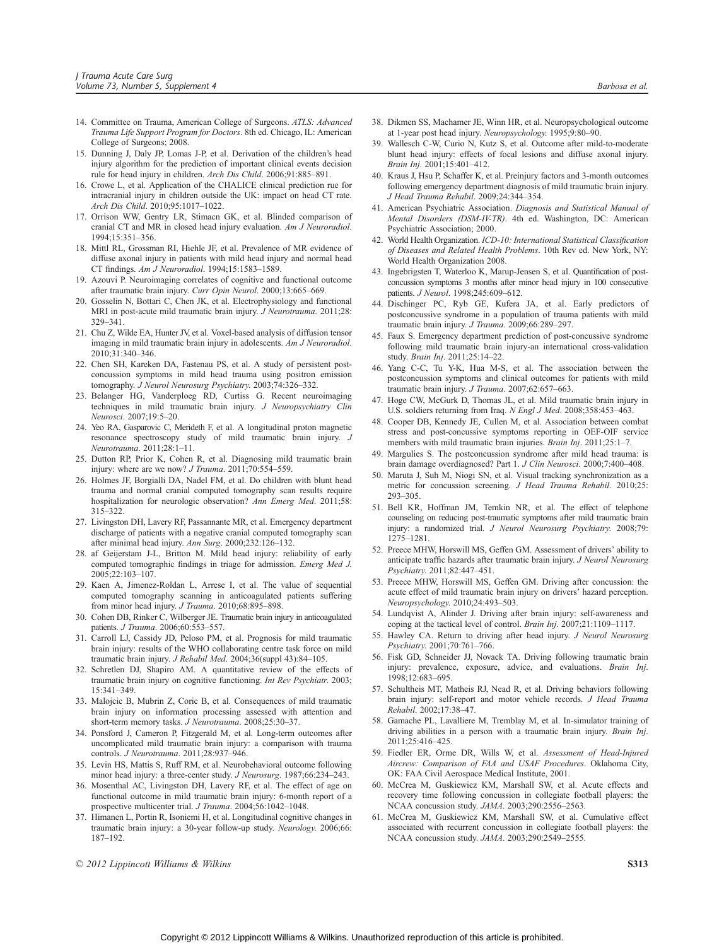- 14. Committee on Trauma, American College of Surgeons. ATLS: Advanced Trauma Life Support Program for Doctors. 8th ed. Chicago, IL: American College of Surgeons; 2008.
- 15. Dunning J, Daly JP, Lomas J-P, et al. Derivation of the children's head injury algorithm for the prediction of important clinical events decision rule for head injury in children. Arch Dis Child. 2006;91:885–891.
- 16. Crowe L, et al. Application of the CHALICE clinical prediction rue for intracranial injury in children outside the UK: impact on head CT rate. Arch Dis Child. 2010:95:1017-1022.
- 17. Orrison WW, Gentry LR, Stimacn GK, et al. Blinded comparison of cranial CT and MR in closed head injury evaluation. Am J Neuroradiol.  $1994:15:351-356.$
- 18. Mittl RL, Grossman RI, Hiehle JF, et al. Prevalence of MR evidence of diffuse axonal injury in patients with mild head injury and normal head CT findings. Am J Neuroradiol. 1994;15:1583-1589.
- 19. Azouvi P. Neuroimaging correlates of cognitive and functional outcome after traumatic brain injury. Curr Opin Neurol. 2000;13:665-669.
- 20. Gosselin N, Bottari C, Chen JK, et al. Electrophysiology and functional MRI in post-acute mild traumatic brain injury. J Neurotrauma. 2011;28:  $329 - 341$
- 21. Chu Z, Wilde EA, Hunter JV, et al. Voxel-based analysis of diffusion tensor imaging in mild traumatic brain injury in adolescents. Am J Neuroradiol. 2010;31:340-346.
- 22. Chen SH, Kareken DA, Fastenau PS, et al. A study of persistent postconcussion symptoms in mild head trauma using positron emission tomography. J Neurol Neurosurg Psychiatry. 2003;74:326-332.
- 23. Belanger HG, Vanderploeg RD, Curtiss G. Recent neuroimaging techniques in mild traumatic brain injury. J Neuropsychiatry Clin Neurosci. 2007;19:5-20.
- 24. Yeo RA, Gasparovic C, Merideth F, et al. A longitudinal proton magnetic resonance spectroscopy study of mild traumatic brain injury. J Neurotrauma. 2011:28:1-11.
- 25. Dutton RP, Prior K, Cohen R, et al. Diagnosing mild traumatic brain injury: where are we now?  $J$  Trauma. 2011;70:554-559.
- 26. Holmes JF, Borgialli DA, Nadel FM, et al. Do children with blunt head trauma and normal cranial computed tomography scan results require hospitalization for neurologic observation? Ann Emerg Med. 2011;58: 315-322.
- 27. Livingston DH, Lavery RF, Passannante MR, et al. Emergency department discharge of patients with a negative cranial computed tomography scan after minimal head injury. Ann Surg.  $2000;232:126-132$ .
- 28. af Geijerstam J-L, Britton M. Mild head injury: reliability of early computed tomographic findings in triage for admission. Emerg Med J. 2005:22:103-107.
- 29. Kaen A, Jimenez-Roldan L, Arrese I, et al. The value of sequential computed tomography scanning in anticoagulated patients suffering from minor head injury. *J Trauma*.  $2010;68:895-898$ .
- 30. Cohen DB, Rinker C, Wilberger JE. Traumatic brain injury in anticoagulated patients. J Trauma. 2006;60:553-557.
- 31. Carroll LJ, Cassidy JD, Peloso PM, et al. Prognosis for mild traumatic brain injury: results of the WHO collaborating centre task force on mild traumatic brain injury. J Rehabil Med. 2004;36(suppl 43):84-105.
- 32. Schretlen DJ, Shapiro AM. A quantitative review of the effects of traumatic brain injury on cognitive functioning. Int Rev Psychiatr. 2003; 15:341-349.
- 33. Malojcic B, Mubrin Z, Coric B, et al. Consequences of mild traumatic brain injury on information processing assessed with attention and short-term memory tasks. J Neurotrauma. 2008;25:30-37.
- 34. Ponsford J, Cameron P, Fitzgerald M, et al. Long-term outcomes after uncomplicated mild traumatic brain injury: a comparison with trauma controls. J Neurotrauma. 2011;28:937-946.
- 35. Levin HS, Mattis S, Ruff RM, et al. Neurobehavioral outcome following minor head injury: a three-center study. J Neurosurg. 1987;66:234-243.
- 36. Mosenthal AC, Livingston DH, Lavery RF, et al. The effect of age on functional outcome in mild traumatic brain injury: 6-month report of a prospective multicenter trial. J Trauma. 2004;56:1042-1048.
- 37. Himanen L, Portin R, Isoniemi H, et al. Longitudinal cognitive changes in traumatic brain injury: a 30-year follow-up study. Neurology. 2006;66: 187-192
- $\odot$  2012 Lippincott Williams & Wilkins  $\ddot{\text{S313}}$
- 38. Dikmen SS, Machamer JE, Winn HR, et al. Neuropsychological outcome at 1-year post head injury. Neuropsychology. 1995;9:80-90.
- 39. Wallesch C-W, Curio N, Kutz S, et al. Outcome after mild-to-moderate blunt head injury: effects of focal lesions and diffuse axonal injury. Brain Ini. 2001:15:401-412.
- 40. Kraus J, Hsu P, Schaffer K, et al. Preinjury factors and 3-month outcomes following emergency department diagnosis of mild traumatic brain injury. J Head Trauma Rehabil. 2009;24:344-354.
- 41. American Psychiatric Association. Diagnosis and Statistical Manual of Mental Disorders (DSM-IV-TR). 4th ed. Washington, DC: American Psychiatric Association; 2000.
- 42. World Health Organization. ICD-10: International Statistical Classification of Diseases and Related Health Problems. 10th Rev ed. New York, NY: World Health Organization 2008.
- 43. Ingebrigsten T, Waterloo K, Marup-Jensen S, et al. Quantification of postconcussion symptoms 3 months after minor head injury in 100 consecutive patients. J Neurol. 1998;245:609-612.
- 44. Dischinger PC, Ryb GE, Kufera JA, et al. Early predictors of postconcussive syndrome in a population of trauma patients with mild traumatic brain injury. J Trauma. 2009;66:289-297.
- 45. Faux S. Emergency department prediction of post-concussive syndrome following mild traumatic brain injury-an international cross-validation study. Brain Inj. 2011;25:14-22.
- 46. Yang C-C, Tu Y-K, Hua M-S, et al. The association between the postconcussion symptoms and clinical outcomes for patients with mild traumatic brain injury. J Trauma. 2007;62:657-663.
- 47. Hoge CW, McGurk D, Thomas JL, et al. Mild traumatic brain injury in U.S. soldiers returning from Iraq. N Engl J Med. 2008;358:453-463.
- 48. Cooper DB, Kennedy JE, Cullen M, et al. Association between combat stress and post-concussive symptoms reporting in OEF-OIF service members with mild traumatic brain injuries. *Brain Inj.*  $2011;25:1-7$ .
- 49. Margulies S. The postconcussion syndrome after mild head trauma: is brain damage overdiagnosed? Part 1. J Clin Neurosci. 2000;7:400-408.
- 50. Maruta J, Suh M, Niogi SN, et al. Visual tracking synchronization as a metric for concussion screening. J Head Trauma Rehabil. 2010;25:  $293 - 305$
- 51. Bell KR, Hoffman JM, Temkin NR, et al. The effect of telephone counseling on reducing post-traumatic symptoms after mild traumatic brain injury: a randomized trial. J Neurol Neurosurg Psychiatry. 2008;79: 1275-1281.
- 52. Preece MHW, Horswill MS, Geffen GM. Assessment of drivers' ability to anticipate traffic hazards after traumatic brain injury. J Neurol Neurosurg Psychiatry. 2011:82:447-451.
- 53. Preece MHW, Horswill MS, Geffen GM. Driving after concussion: the acute effect of mild traumatic brain injury on drivers' hazard perception. Neuropsychology. 2010;24:493-503.
- 54. Lundqvist A, Alinder J. Driving after brain injury: self-awareness and coping at the tactical level of control. Brain Inj. 2007;21:1109-1117.
- 55. Hawley CA. Return to driving after head injury. J Neurol Neurosurg Psychiatry. 2001;70:761-766.
- 56. Fisk GD, Schneider JJ, Novack TA. Driving following traumatic brain injury: prevalence, exposure, advice, and evaluations. Brain Inj. 1998:12:683-695.
- 57. Schultheis MT, Matheis RJ, Nead R, et al. Driving behaviors following brain injury: self-report and motor vehicle records. J Head Trauma Rehabil. 2002;17:38-47.
- 58. Gamache PL, Lavalliere M, Tremblay M, et al. In-simulator training of driving abilities in a person with a traumatic brain injury. Brain Inj. 2011:25:416-425.
- 59. Fiedler ER, Orme DR, Wills W, et al. Assessment of Head-Injured Aircrew: Comparison of FAA and USAF Procedures. Oklahoma City, OK: FAA Civil Aerospace Medical Institute, 2001.
- 60. McCrea M, Guskiewicz KM, Marshall SW, et al. Acute effects and recovery time following concussion in collegiate football players: the NCAA concussion study. JAMA. 2003;290:2556-2563.
- 61. McCrea M, Guskiewicz KM, Marshall SW, et al. Cumulative effect associated with recurrent concussion in collegiate football players: the NCAA concussion study. JAMA. 2003;290:2549-2555.